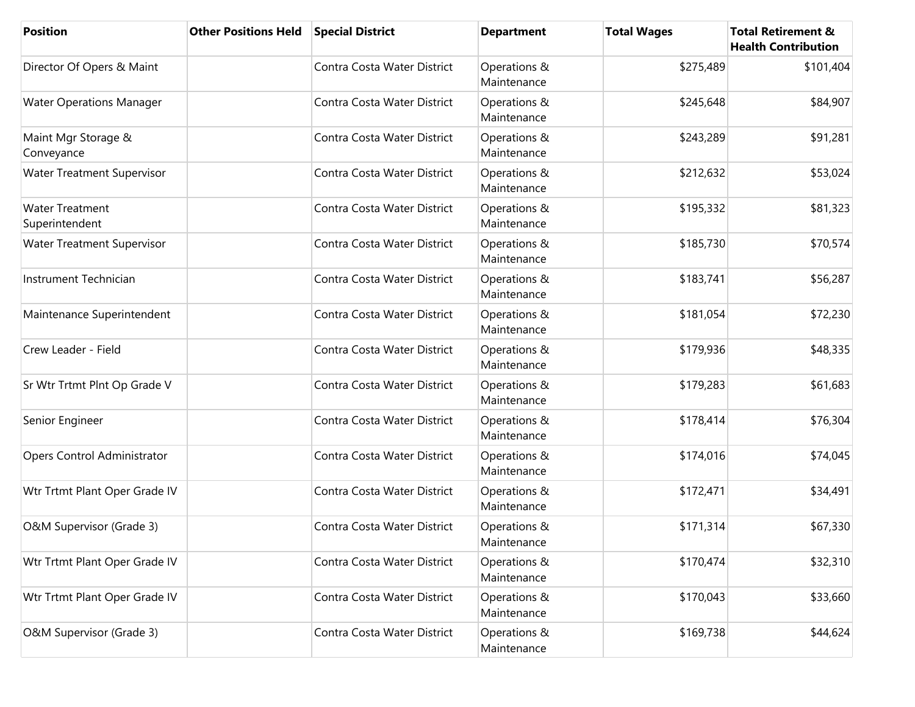| <b>Position</b>                          | <b>Other Positions Held</b> | <b>Special District</b>     | <b>Department</b>           | <b>Total Wages</b> | <b>Total Retirement &amp;</b><br><b>Health Contribution</b> |
|------------------------------------------|-----------------------------|-----------------------------|-----------------------------|--------------------|-------------------------------------------------------------|
| Director Of Opers & Maint                |                             | Contra Costa Water District | Operations &<br>Maintenance | \$275,489          | \$101,404                                                   |
| <b>Water Operations Manager</b>          |                             | Contra Costa Water District | Operations &<br>Maintenance | \$245,648          | \$84,907                                                    |
| Maint Mgr Storage &<br>Conveyance        |                             | Contra Costa Water District | Operations &<br>Maintenance | \$243,289          | \$91,281                                                    |
| <b>Water Treatment Supervisor</b>        |                             | Contra Costa Water District | Operations &<br>Maintenance | \$212,632          | \$53,024                                                    |
| <b>Water Treatment</b><br>Superintendent |                             | Contra Costa Water District | Operations &<br>Maintenance | \$195,332          | \$81,323                                                    |
| <b>Water Treatment Supervisor</b>        |                             | Contra Costa Water District | Operations &<br>Maintenance | \$185,730          | \$70,574                                                    |
| Instrument Technician                    |                             | Contra Costa Water District | Operations &<br>Maintenance | \$183,741          | \$56,287                                                    |
| Maintenance Superintendent               |                             | Contra Costa Water District | Operations &<br>Maintenance | \$181,054          | \$72,230                                                    |
| Crew Leader - Field                      |                             | Contra Costa Water District | Operations &<br>Maintenance | \$179,936          | \$48,335                                                    |
| Sr Wtr Trtmt Plnt Op Grade V             |                             | Contra Costa Water District | Operations &<br>Maintenance | \$179,283          | \$61,683                                                    |
| Senior Engineer                          |                             | Contra Costa Water District | Operations &<br>Maintenance | \$178,414          | \$76,304                                                    |
| Opers Control Administrator              |                             | Contra Costa Water District | Operations &<br>Maintenance | \$174,016          | \$74,045                                                    |
| Wtr Trtmt Plant Oper Grade IV            |                             | Contra Costa Water District | Operations &<br>Maintenance | \$172,471          | \$34,491                                                    |
| O&M Supervisor (Grade 3)                 |                             | Contra Costa Water District | Operations &<br>Maintenance | \$171,314          | \$67,330                                                    |
| Wtr Trtmt Plant Oper Grade IV            |                             | Contra Costa Water District | Operations &<br>Maintenance | \$170,474          | \$32,310                                                    |
| Wtr Trtmt Plant Oper Grade IV            |                             | Contra Costa Water District | Operations &<br>Maintenance | \$170,043          | \$33,660                                                    |
| O&M Supervisor (Grade 3)                 |                             | Contra Costa Water District | Operations &<br>Maintenance | \$169,738          | \$44,624                                                    |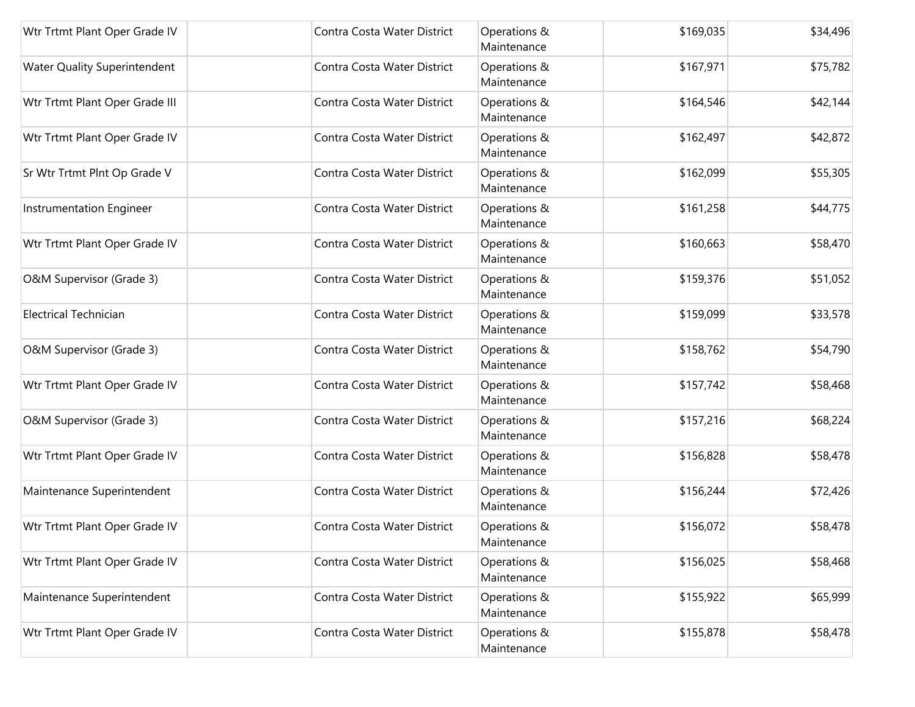| Wtr Trtmt Plant Oper Grade IV       | Contra Costa Water District | Operations &<br>Maintenance | \$169,035 | \$34,496 |
|-------------------------------------|-----------------------------|-----------------------------|-----------|----------|
| <b>Water Quality Superintendent</b> | Contra Costa Water District | Operations &<br>Maintenance | \$167,971 | \$75,782 |
| Wtr Trtmt Plant Oper Grade III      | Contra Costa Water District | Operations &<br>Maintenance | \$164,546 | \$42,144 |
| Wtr Trtmt Plant Oper Grade IV       | Contra Costa Water District | Operations &<br>Maintenance | \$162,497 | \$42,872 |
| Sr Wtr Trtmt Plnt Op Grade V        | Contra Costa Water District | Operations &<br>Maintenance | \$162,099 | \$55,305 |
| Instrumentation Engineer            | Contra Costa Water District | Operations &<br>Maintenance | \$161,258 | \$44,775 |
| Wtr Trtmt Plant Oper Grade IV       | Contra Costa Water District | Operations &<br>Maintenance | \$160,663 | \$58,470 |
| O&M Supervisor (Grade 3)            | Contra Costa Water District | Operations &<br>Maintenance | \$159,376 | \$51,052 |
| <b>Electrical Technician</b>        | Contra Costa Water District | Operations &<br>Maintenance | \$159,099 | \$33,578 |
| O&M Supervisor (Grade 3)            | Contra Costa Water District | Operations &<br>Maintenance | \$158,762 | \$54,790 |
| Wtr Trtmt Plant Oper Grade IV       | Contra Costa Water District | Operations &<br>Maintenance | \$157,742 | \$58,468 |
| O&M Supervisor (Grade 3)            | Contra Costa Water District | Operations &<br>Maintenance | \$157,216 | \$68,224 |
| Wtr Trtmt Plant Oper Grade IV       | Contra Costa Water District | Operations &<br>Maintenance | \$156,828 | \$58,478 |
| Maintenance Superintendent          | Contra Costa Water District | Operations &<br>Maintenance | \$156,244 | \$72,426 |
| Wtr Trtmt Plant Oper Grade IV       | Contra Costa Water District | Operations &<br>Maintenance | \$156,072 | \$58,478 |
| Wtr Trtmt Plant Oper Grade IV       | Contra Costa Water District | Operations &<br>Maintenance | \$156,025 | \$58,468 |
| Maintenance Superintendent          | Contra Costa Water District | Operations &<br>Maintenance | \$155,922 | \$65,999 |
| Wtr Trtmt Plant Oper Grade IV       | Contra Costa Water District | Operations &<br>Maintenance | \$155,878 | \$58,478 |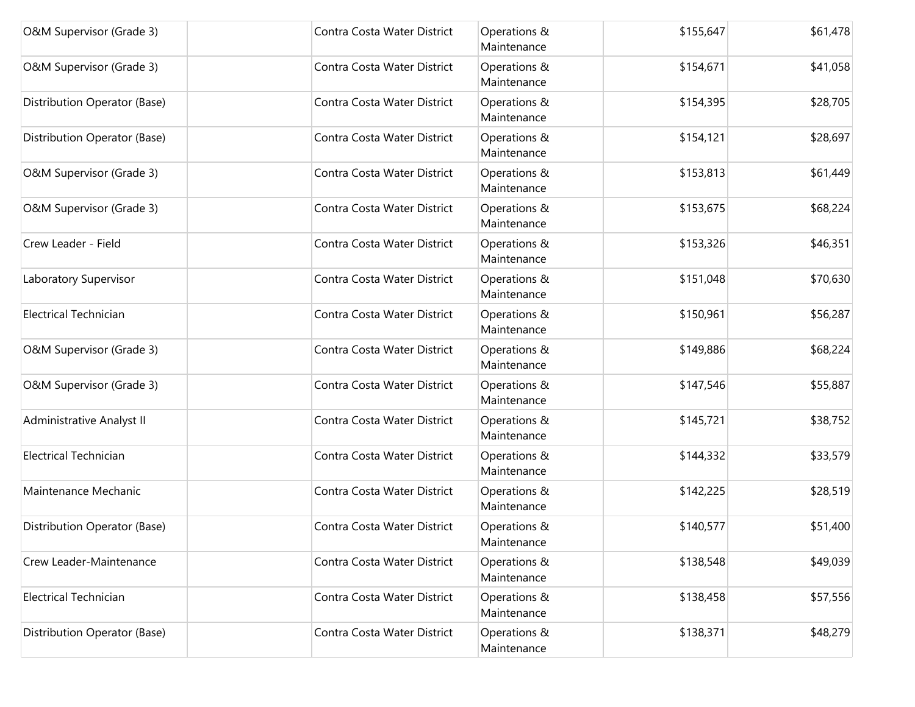| O&M Supervisor (Grade 3)     | Contra Costa Water District | Operations &<br>Maintenance | \$155,647 | \$61,478 |
|------------------------------|-----------------------------|-----------------------------|-----------|----------|
| O&M Supervisor (Grade 3)     | Contra Costa Water District | Operations &<br>Maintenance | \$154,671 | \$41,058 |
| Distribution Operator (Base) | Contra Costa Water District | Operations &<br>Maintenance | \$154,395 | \$28,705 |
| Distribution Operator (Base) | Contra Costa Water District | Operations &<br>Maintenance | \$154,121 | \$28,697 |
| O&M Supervisor (Grade 3)     | Contra Costa Water District | Operations &<br>Maintenance | \$153,813 | \$61,449 |
| O&M Supervisor (Grade 3)     | Contra Costa Water District | Operations &<br>Maintenance | \$153,675 | \$68,224 |
| Crew Leader - Field          | Contra Costa Water District | Operations &<br>Maintenance | \$153,326 | \$46,351 |
| Laboratory Supervisor        | Contra Costa Water District | Operations &<br>Maintenance | \$151,048 | \$70,630 |
| <b>Electrical Technician</b> | Contra Costa Water District | Operations &<br>Maintenance | \$150,961 | \$56,287 |
| O&M Supervisor (Grade 3)     | Contra Costa Water District | Operations &<br>Maintenance | \$149,886 | \$68,224 |
| O&M Supervisor (Grade 3)     | Contra Costa Water District | Operations &<br>Maintenance | \$147,546 | \$55,887 |
| Administrative Analyst II    | Contra Costa Water District | Operations &<br>Maintenance | \$145,721 | \$38,752 |
| <b>Electrical Technician</b> | Contra Costa Water District | Operations &<br>Maintenance | \$144,332 | \$33,579 |
| Maintenance Mechanic         | Contra Costa Water District | Operations &<br>Maintenance | \$142,225 | \$28,519 |
| Distribution Operator (Base) | Contra Costa Water District | Operations &<br>Maintenance | \$140,577 | \$51,400 |
| Crew Leader-Maintenance      | Contra Costa Water District | Operations &<br>Maintenance | \$138,548 | \$49,039 |
| <b>Electrical Technician</b> | Contra Costa Water District | Operations &<br>Maintenance | \$138,458 | \$57,556 |
| Distribution Operator (Base) | Contra Costa Water District | Operations &<br>Maintenance | \$138,371 | \$48,279 |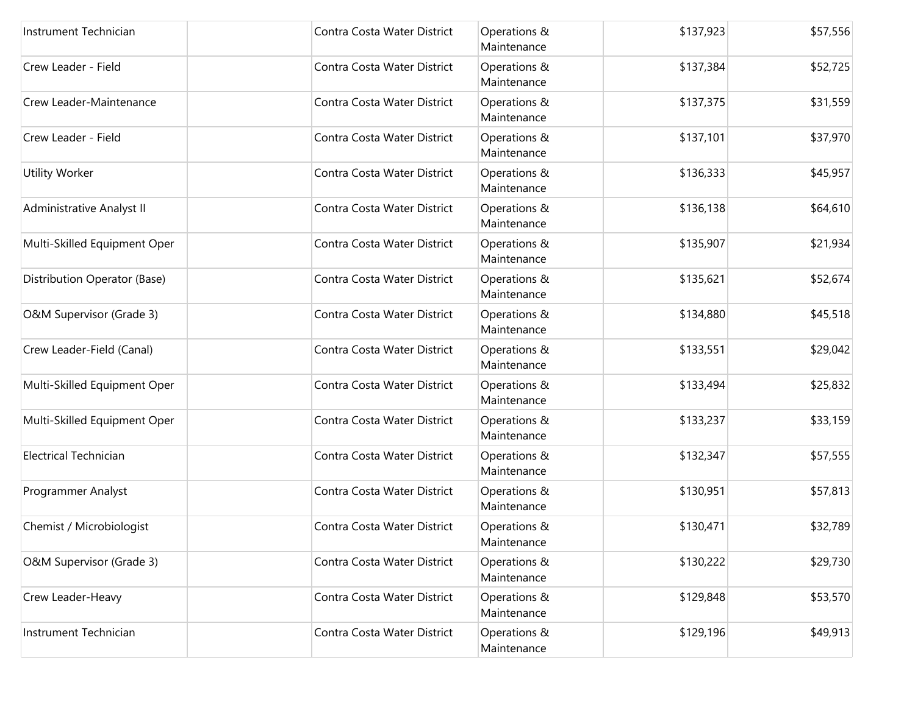| Instrument Technician        | Contra Costa Water District | Operations &<br>Maintenance | \$137,923 | \$57,556 |
|------------------------------|-----------------------------|-----------------------------|-----------|----------|
| Crew Leader - Field          | Contra Costa Water District | Operations &<br>Maintenance | \$137,384 | \$52,725 |
| Crew Leader-Maintenance      | Contra Costa Water District | Operations &<br>Maintenance | \$137,375 | \$31,559 |
| Crew Leader - Field          | Contra Costa Water District | Operations &<br>Maintenance | \$137,101 | \$37,970 |
| Utility Worker               | Contra Costa Water District | Operations &<br>Maintenance | \$136,333 | \$45,957 |
| Administrative Analyst II    | Contra Costa Water District | Operations &<br>Maintenance | \$136,138 | \$64,610 |
| Multi-Skilled Equipment Oper | Contra Costa Water District | Operations &<br>Maintenance | \$135,907 | \$21,934 |
| Distribution Operator (Base) | Contra Costa Water District | Operations &<br>Maintenance | \$135,621 | \$52,674 |
| O&M Supervisor (Grade 3)     | Contra Costa Water District | Operations &<br>Maintenance | \$134,880 | \$45,518 |
| Crew Leader-Field (Canal)    | Contra Costa Water District | Operations &<br>Maintenance | \$133,551 | \$29,042 |
| Multi-Skilled Equipment Oper | Contra Costa Water District | Operations &<br>Maintenance | \$133,494 | \$25,832 |
| Multi-Skilled Equipment Oper | Contra Costa Water District | Operations &<br>Maintenance | \$133,237 | \$33,159 |
| <b>Electrical Technician</b> | Contra Costa Water District | Operations &<br>Maintenance | \$132,347 | \$57,555 |
| Programmer Analyst           | Contra Costa Water District | Operations &<br>Maintenance | \$130,951 | \$57,813 |
| Chemist / Microbiologist     | Contra Costa Water District | Operations &<br>Maintenance | \$130,471 | \$32,789 |
| O&M Supervisor (Grade 3)     | Contra Costa Water District | Operations &<br>Maintenance | \$130,222 | \$29,730 |
| Crew Leader-Heavy            | Contra Costa Water District | Operations &<br>Maintenance | \$129,848 | \$53,570 |
| Instrument Technician        | Contra Costa Water District | Operations &<br>Maintenance | \$129,196 | \$49,913 |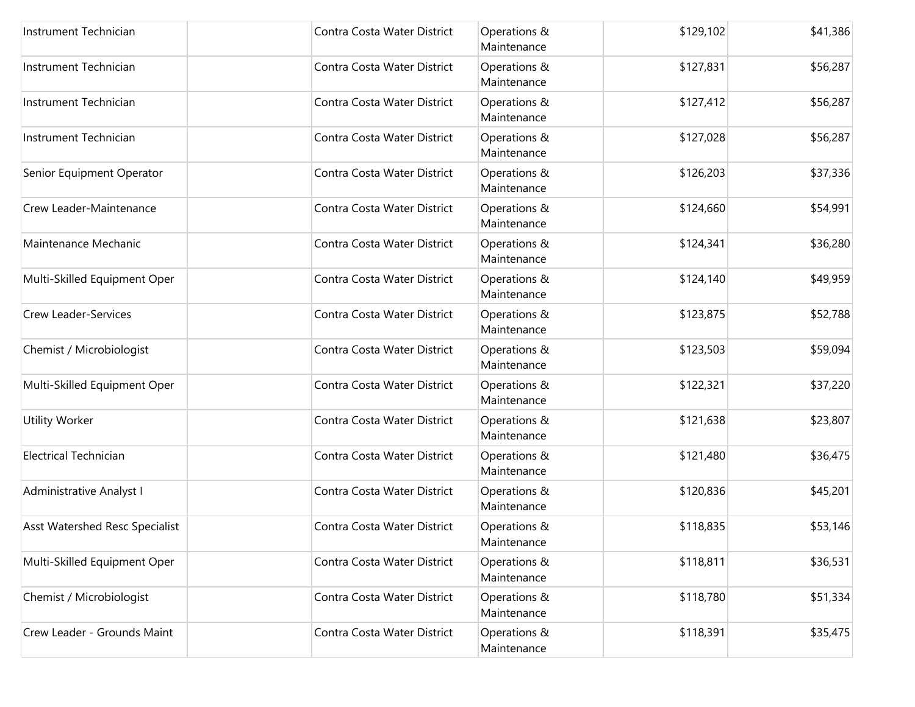| Instrument Technician          | Contra Costa Water District | Operations &<br>Maintenance | \$129,102 | \$41,386 |
|--------------------------------|-----------------------------|-----------------------------|-----------|----------|
| Instrument Technician          | Contra Costa Water District | Operations &<br>Maintenance | \$127,831 | \$56,287 |
| Instrument Technician          | Contra Costa Water District | Operations &<br>Maintenance | \$127,412 | \$56,287 |
| Instrument Technician          | Contra Costa Water District | Operations &<br>Maintenance | \$127,028 | \$56,287 |
| Senior Equipment Operator      | Contra Costa Water District | Operations &<br>Maintenance | \$126,203 | \$37,336 |
| Crew Leader-Maintenance        | Contra Costa Water District | Operations &<br>Maintenance | \$124,660 | \$54,991 |
| Maintenance Mechanic           | Contra Costa Water District | Operations &<br>Maintenance | \$124,341 | \$36,280 |
| Multi-Skilled Equipment Oper   | Contra Costa Water District | Operations &<br>Maintenance | \$124,140 | \$49,959 |
| Crew Leader-Services           | Contra Costa Water District | Operations &<br>Maintenance | \$123,875 | \$52,788 |
| Chemist / Microbiologist       | Contra Costa Water District | Operations &<br>Maintenance | \$123,503 | \$59,094 |
| Multi-Skilled Equipment Oper   | Contra Costa Water District | Operations &<br>Maintenance | \$122,321 | \$37,220 |
| <b>Utility Worker</b>          | Contra Costa Water District | Operations &<br>Maintenance | \$121,638 | \$23,807 |
| <b>Electrical Technician</b>   | Contra Costa Water District | Operations &<br>Maintenance | \$121,480 | \$36,475 |
| Administrative Analyst I       | Contra Costa Water District | Operations &<br>Maintenance | \$120,836 | \$45,201 |
| Asst Watershed Resc Specialist | Contra Costa Water District | Operations &<br>Maintenance | \$118,835 | \$53,146 |
| Multi-Skilled Equipment Oper   | Contra Costa Water District | Operations &<br>Maintenance | \$118,811 | \$36,531 |
| Chemist / Microbiologist       | Contra Costa Water District | Operations &<br>Maintenance | \$118,780 | \$51,334 |
| Crew Leader - Grounds Maint    | Contra Costa Water District | Operations &<br>Maintenance | \$118,391 | \$35,475 |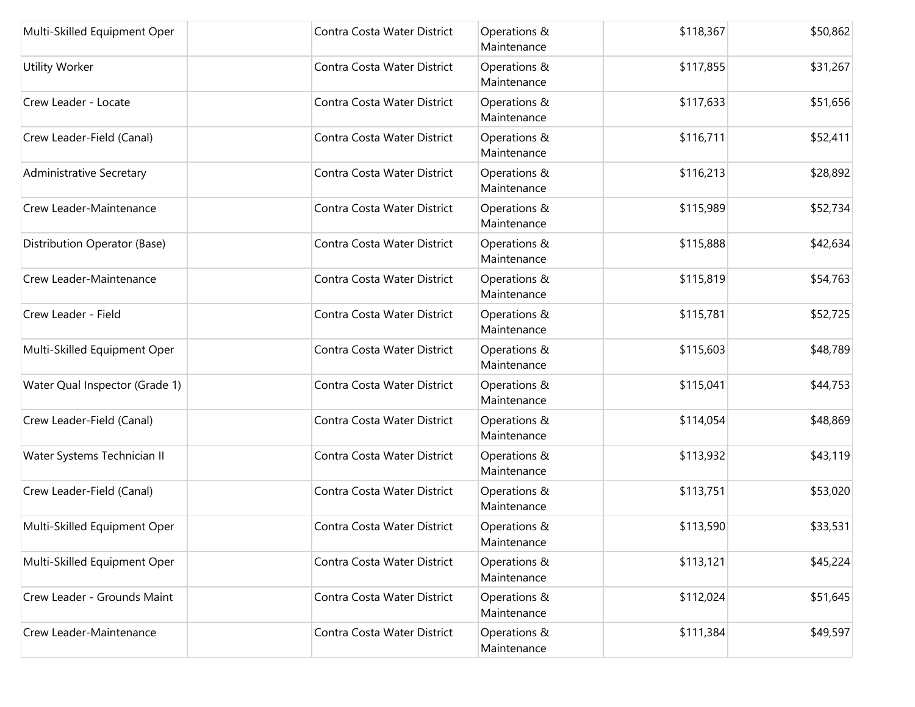| Multi-Skilled Equipment Oper   | Contra Costa Water District | Operations &<br>Maintenance | \$118,367 | \$50,862 |
|--------------------------------|-----------------------------|-----------------------------|-----------|----------|
| <b>Utility Worker</b>          | Contra Costa Water District | Operations &<br>Maintenance | \$117,855 | \$31,267 |
| Crew Leader - Locate           | Contra Costa Water District | Operations &<br>Maintenance | \$117,633 | \$51,656 |
| Crew Leader-Field (Canal)      | Contra Costa Water District | Operations &<br>Maintenance | \$116,711 | \$52,411 |
| Administrative Secretary       | Contra Costa Water District | Operations &<br>Maintenance | \$116,213 | \$28,892 |
| Crew Leader-Maintenance        | Contra Costa Water District | Operations &<br>Maintenance | \$115,989 | \$52,734 |
| Distribution Operator (Base)   | Contra Costa Water District | Operations &<br>Maintenance | \$115,888 | \$42,634 |
| Crew Leader-Maintenance        | Contra Costa Water District | Operations &<br>Maintenance | \$115,819 | \$54,763 |
| Crew Leader - Field            | Contra Costa Water District | Operations &<br>Maintenance | \$115,781 | \$52,725 |
| Multi-Skilled Equipment Oper   | Contra Costa Water District | Operations &<br>Maintenance | \$115,603 | \$48,789 |
| Water Qual Inspector (Grade 1) | Contra Costa Water District | Operations &<br>Maintenance | \$115,041 | \$44,753 |
| Crew Leader-Field (Canal)      | Contra Costa Water District | Operations &<br>Maintenance | \$114,054 | \$48,869 |
| Water Systems Technician II    | Contra Costa Water District | Operations &<br>Maintenance | \$113,932 | \$43,119 |
| Crew Leader-Field (Canal)      | Contra Costa Water District | Operations &<br>Maintenance | \$113,751 | \$53,020 |
| Multi-Skilled Equipment Oper   | Contra Costa Water District | Operations &<br>Maintenance | \$113,590 | \$33,531 |
| Multi-Skilled Equipment Oper   | Contra Costa Water District | Operations &<br>Maintenance | \$113,121 | \$45,224 |
| Crew Leader - Grounds Maint    | Contra Costa Water District | Operations &<br>Maintenance | \$112,024 | \$51,645 |
| Crew Leader-Maintenance        | Contra Costa Water District | Operations &<br>Maintenance | \$111,384 | \$49,597 |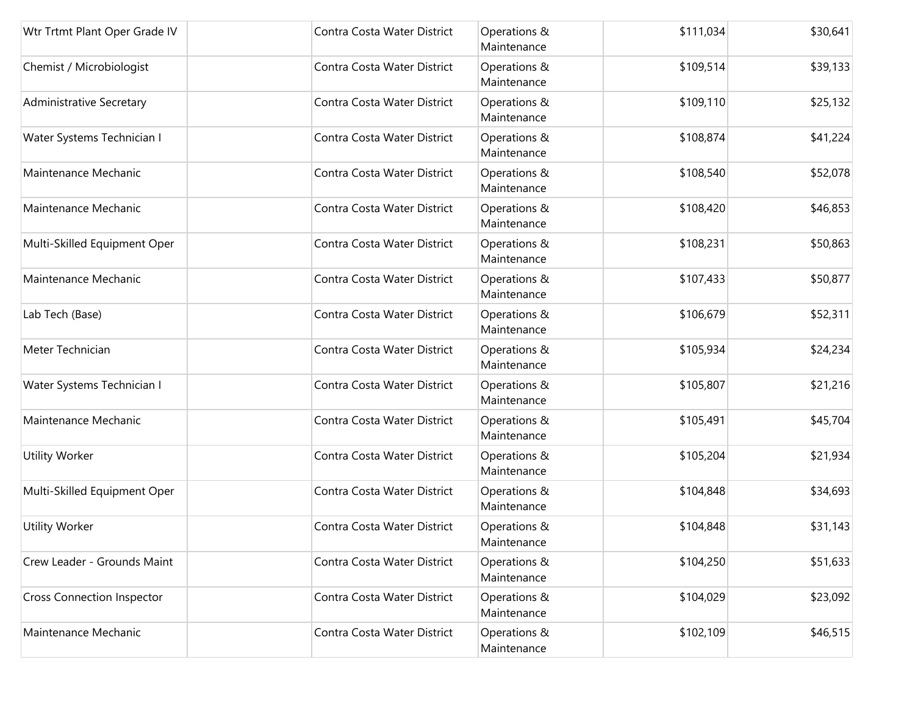| Wtr Trtmt Plant Oper Grade IV     | Contra Costa Water District | Operations &<br>Maintenance | \$111,034 | \$30,641 |
|-----------------------------------|-----------------------------|-----------------------------|-----------|----------|
| Chemist / Microbiologist          | Contra Costa Water District | Operations &<br>Maintenance | \$109,514 | \$39,133 |
| Administrative Secretary          | Contra Costa Water District | Operations &<br>Maintenance | \$109,110 | \$25,132 |
| Water Systems Technician I        | Contra Costa Water District | Operations &<br>Maintenance | \$108,874 | \$41,224 |
| Maintenance Mechanic              | Contra Costa Water District | Operations &<br>Maintenance | \$108,540 | \$52,078 |
| Maintenance Mechanic              | Contra Costa Water District | Operations &<br>Maintenance | \$108,420 | \$46,853 |
| Multi-Skilled Equipment Oper      | Contra Costa Water District | Operations &<br>Maintenance | \$108,231 | \$50,863 |
| Maintenance Mechanic              | Contra Costa Water District | Operations &<br>Maintenance | \$107,433 | \$50,877 |
| Lab Tech (Base)                   | Contra Costa Water District | Operations &<br>Maintenance | \$106,679 | \$52,311 |
| Meter Technician                  | Contra Costa Water District | Operations &<br>Maintenance | \$105,934 | \$24,234 |
| Water Systems Technician I        | Contra Costa Water District | Operations &<br>Maintenance | \$105,807 | \$21,216 |
| Maintenance Mechanic              | Contra Costa Water District | Operations &<br>Maintenance | \$105,491 | \$45,704 |
| Utility Worker                    | Contra Costa Water District | Operations &<br>Maintenance | \$105,204 | \$21,934 |
| Multi-Skilled Equipment Oper      | Contra Costa Water District | Operations &<br>Maintenance | \$104,848 | \$34,693 |
| <b>Utility Worker</b>             | Contra Costa Water District | Operations &<br>Maintenance | \$104,848 | \$31,143 |
| Crew Leader - Grounds Maint       | Contra Costa Water District | Operations &<br>Maintenance | \$104,250 | \$51,633 |
| <b>Cross Connection Inspector</b> | Contra Costa Water District | Operations &<br>Maintenance | \$104,029 | \$23,092 |
| Maintenance Mechanic              | Contra Costa Water District | Operations &<br>Maintenance | \$102,109 | \$46,515 |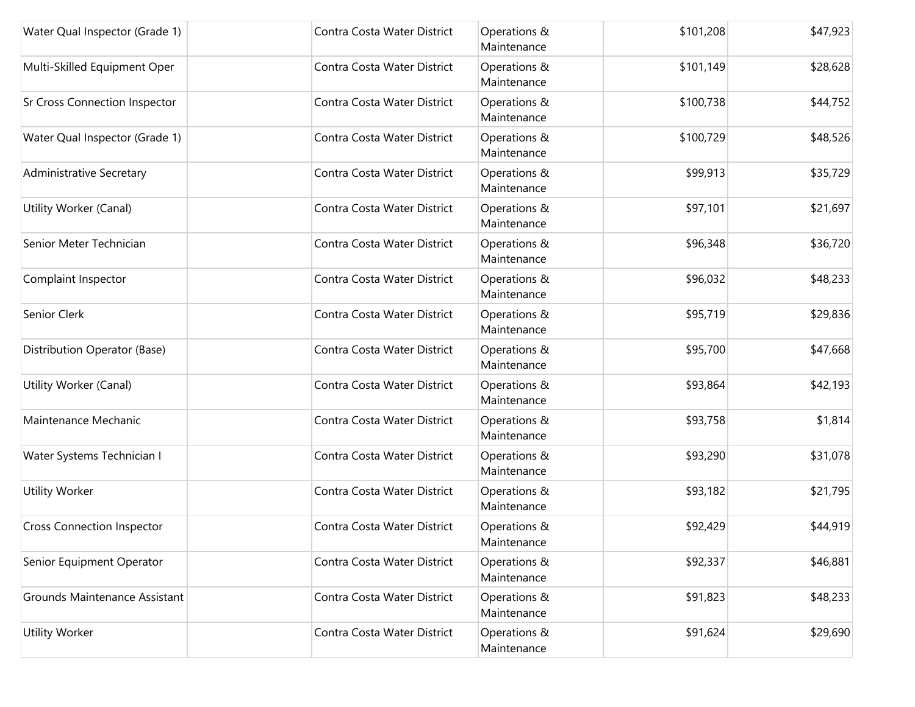| Water Qual Inspector (Grade 1)       | Contra Costa Water District | Operations &<br>Maintenance | \$101,208 | \$47,923 |
|--------------------------------------|-----------------------------|-----------------------------|-----------|----------|
| Multi-Skilled Equipment Oper         | Contra Costa Water District | Operations &<br>Maintenance | \$101,149 | \$28,628 |
| <b>Sr Cross Connection Inspector</b> | Contra Costa Water District | Operations &<br>Maintenance | \$100,738 | \$44,752 |
| Water Qual Inspector (Grade 1)       | Contra Costa Water District | Operations &<br>Maintenance | \$100,729 | \$48,526 |
| Administrative Secretary             | Contra Costa Water District | Operations &<br>Maintenance | \$99,913  | \$35,729 |
| Utility Worker (Canal)               | Contra Costa Water District | Operations &<br>Maintenance | \$97,101  | \$21,697 |
| Senior Meter Technician              | Contra Costa Water District | Operations &<br>Maintenance | \$96,348  | \$36,720 |
| Complaint Inspector                  | Contra Costa Water District | Operations &<br>Maintenance | \$96,032  | \$48,233 |
| Senior Clerk                         | Contra Costa Water District | Operations &<br>Maintenance | \$95,719  | \$29,836 |
| Distribution Operator (Base)         | Contra Costa Water District | Operations &<br>Maintenance | \$95,700  | \$47,668 |
| Utility Worker (Canal)               | Contra Costa Water District | Operations &<br>Maintenance | \$93,864  | \$42,193 |
| Maintenance Mechanic                 | Contra Costa Water District | Operations &<br>Maintenance | \$93,758  | \$1,814  |
| Water Systems Technician I           | Contra Costa Water District | Operations &<br>Maintenance | \$93,290  | \$31,078 |
| Utility Worker                       | Contra Costa Water District | Operations &<br>Maintenance | \$93,182  | \$21,795 |
| <b>Cross Connection Inspector</b>    | Contra Costa Water District | Operations &<br>Maintenance | \$92,429  | \$44,919 |
| Senior Equipment Operator            | Contra Costa Water District | Operations &<br>Maintenance | \$92,337  | \$46,881 |
| Grounds Maintenance Assistant        | Contra Costa Water District | Operations &<br>Maintenance | \$91,823  | \$48,233 |
| <b>Utility Worker</b>                | Contra Costa Water District | Operations &<br>Maintenance | \$91,624  | \$29,690 |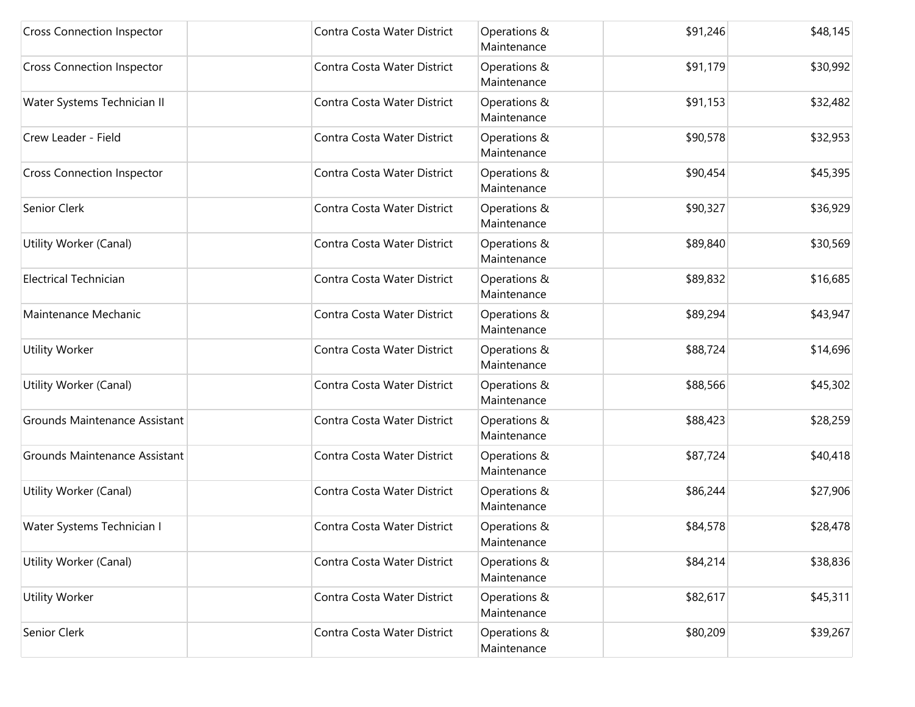| <b>Cross Connection Inspector</b> | Contra Costa Water District | Operations &<br>Maintenance | \$91,246 | \$48,145 |
|-----------------------------------|-----------------------------|-----------------------------|----------|----------|
| <b>Cross Connection Inspector</b> | Contra Costa Water District | Operations &<br>Maintenance | \$91,179 | \$30,992 |
| Water Systems Technician II       | Contra Costa Water District | Operations &<br>Maintenance | \$91,153 | \$32,482 |
| Crew Leader - Field               | Contra Costa Water District | Operations &<br>Maintenance | \$90,578 | \$32,953 |
| <b>Cross Connection Inspector</b> | Contra Costa Water District | Operations &<br>Maintenance | \$90,454 | \$45,395 |
| Senior Clerk                      | Contra Costa Water District | Operations &<br>Maintenance | \$90,327 | \$36,929 |
| Utility Worker (Canal)            | Contra Costa Water District | Operations &<br>Maintenance | \$89,840 | \$30,569 |
| <b>Electrical Technician</b>      | Contra Costa Water District | Operations &<br>Maintenance | \$89,832 | \$16,685 |
| Maintenance Mechanic              | Contra Costa Water District | Operations &<br>Maintenance | \$89,294 | \$43,947 |
| <b>Utility Worker</b>             | Contra Costa Water District | Operations &<br>Maintenance | \$88,724 | \$14,696 |
| Utility Worker (Canal)            | Contra Costa Water District | Operations &<br>Maintenance | \$88,566 | \$45,302 |
| Grounds Maintenance Assistant     | Contra Costa Water District | Operations &<br>Maintenance | \$88,423 | \$28,259 |
| Grounds Maintenance Assistant     | Contra Costa Water District | Operations &<br>Maintenance | \$87,724 | \$40,418 |
| Utility Worker (Canal)            | Contra Costa Water District | Operations &<br>Maintenance | \$86,244 | \$27,906 |
| Water Systems Technician I        | Contra Costa Water District | Operations &<br>Maintenance | \$84,578 | \$28,478 |
| Utility Worker (Canal)            | Contra Costa Water District | Operations &<br>Maintenance | \$84,214 | \$38,836 |
| <b>Utility Worker</b>             | Contra Costa Water District | Operations &<br>Maintenance | \$82,617 | \$45,311 |
| Senior Clerk                      | Contra Costa Water District | Operations &<br>Maintenance | \$80,209 | \$39,267 |